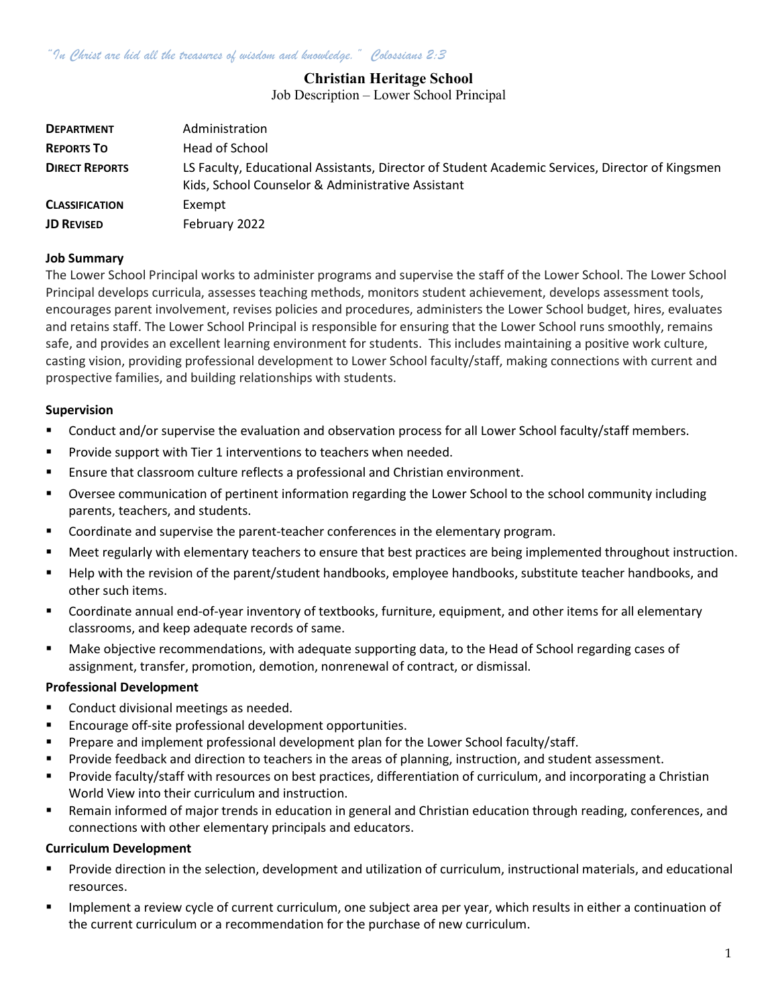# Christian Heritage School

Job Description – Lower School Principal

| <b>DEPARTMENT</b>     | Administration                                                                                                                                       |
|-----------------------|------------------------------------------------------------------------------------------------------------------------------------------------------|
| <b>REPORTS TO</b>     | Head of School                                                                                                                                       |
| <b>DIRECT REPORTS</b> | LS Faculty, Educational Assistants, Director of Student Academic Services, Director of Kingsmen<br>Kids, School Counselor & Administrative Assistant |
| <b>CLASSIFICATION</b> | Exempt                                                                                                                                               |
| <b>JD REVISED</b>     | February 2022                                                                                                                                        |

#### Job Summary

The Lower School Principal works to administer programs and supervise the staff of the Lower School. The Lower School Principal develops curricula, assesses teaching methods, monitors student achievement, develops assessment tools, encourages parent involvement, revises policies and procedures, administers the Lower School budget, hires, evaluates and retains staff. The Lower School Principal is responsible for ensuring that the Lower School runs smoothly, remains safe, and provides an excellent learning environment for students. This includes maintaining a positive work culture, casting vision, providing professional development to Lower School faculty/staff, making connections with current and prospective families, and building relationships with students.

#### Supervision

- **Conduct and/or supervise the evaluation and observation process for all Lower School faculty/staff members.**
- **Provide support with Tier 1 interventions to teachers when needed.**
- Ensure that classroom culture reflects a professional and Christian environment.
- Oversee communication of pertinent information regarding the Lower School to the school community including parents, teachers, and students.
- **Coordinate and supervise the parent-teacher conferences in the elementary program.**
- Meet regularly with elementary teachers to ensure that best practices are being implemented throughout instruction.
- Help with the revision of the parent/student handbooks, employee handbooks, substitute teacher handbooks, and other such items.
- Coordinate annual end-of-year inventory of textbooks, furniture, equipment, and other items for all elementary classrooms, and keep adequate records of same.
- Make objective recommendations, with adequate supporting data, to the Head of School regarding cases of assignment, transfer, promotion, demotion, nonrenewal of contract, or dismissal.

#### Professional Development

- **Conduct divisional meetings as needed.**
- Encourage off-site professional development opportunities.
- Prepare and implement professional development plan for the Lower School faculty/staff.
- Provide feedback and direction to teachers in the areas of planning, instruction, and student assessment.
- Provide faculty/staff with resources on best practices, differentiation of curriculum, and incorporating a Christian World View into their curriculum and instruction.
- Remain informed of major trends in education in general and Christian education through reading, conferences, and connections with other elementary principals and educators.

#### Curriculum Development

- Provide direction in the selection, development and utilization of curriculum, instructional materials, and educational resources.
- **Implement a review cycle of current curriculum, one subject area per year, which results in either a continuation of** the current curriculum or a recommendation for the purchase of new curriculum.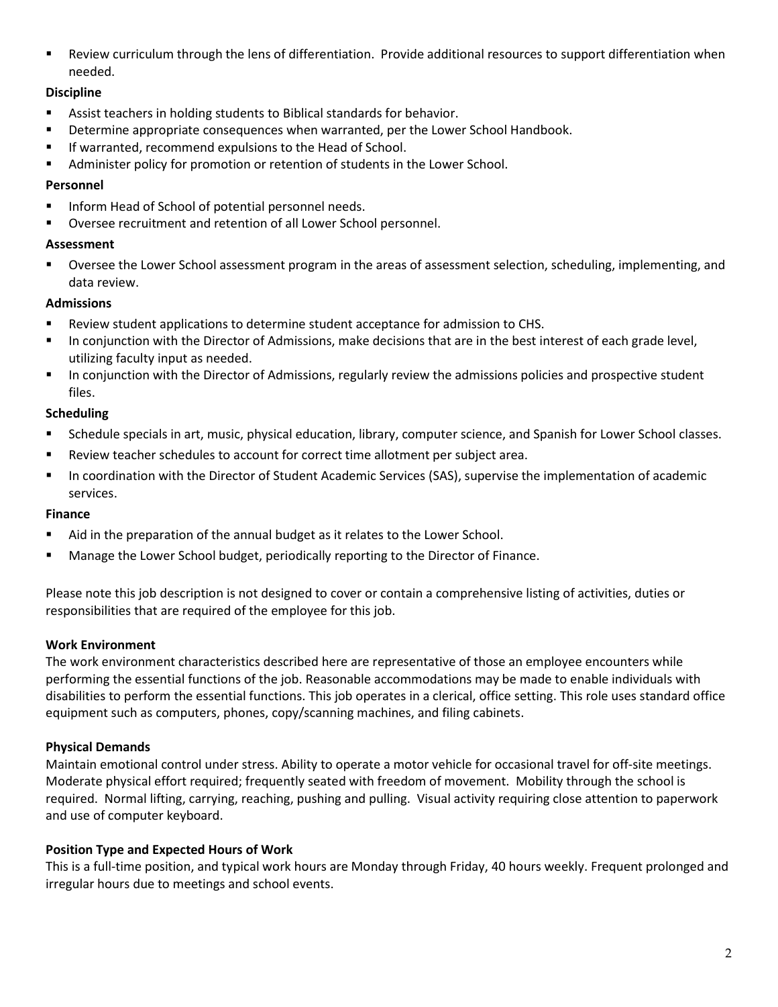Review curriculum through the lens of differentiation. Provide additional resources to support differentiation when needed.

# **Discipline**

- Assist teachers in holding students to Biblical standards for behavior.
- Determine appropriate consequences when warranted, per the Lower School Handbook.
- **If warranted, recommend expulsions to the Head of School.**
- Administer policy for promotion or retention of students in the Lower School.

#### Personnel

- **Inform Head of School of potential personnel needs.**
- Oversee recruitment and retention of all Lower School personnel.

#### Assessment

 Oversee the Lower School assessment program in the areas of assessment selection, scheduling, implementing, and data review.

# Admissions

- Review student applications to determine student acceptance for admission to CHS.
- In conjunction with the Director of Admissions, make decisions that are in the best interest of each grade level, utilizing faculty input as needed.
- In conjunction with the Director of Admissions, regularly review the admissions policies and prospective student files.

# Scheduling

- Schedule specials in art, music, physical education, library, computer science, and Spanish for Lower School classes.
- **Review teacher schedules to account for correct time allotment per subject area.**
- In coordination with the Director of Student Academic Services (SAS), supervise the implementation of academic services.

# Finance

- Aid in the preparation of the annual budget as it relates to the Lower School.
- Manage the Lower School budget, periodically reporting to the Director of Finance.

Please note this job description is not designed to cover or contain a comprehensive listing of activities, duties or responsibilities that are required of the employee for this job.

# Work Environment

The work environment characteristics described here are representative of those an employee encounters while performing the essential functions of the job. Reasonable accommodations may be made to enable individuals with disabilities to perform the essential functions. This job operates in a clerical, office setting. This role uses standard office equipment such as computers, phones, copy/scanning machines, and filing cabinets.

# Physical Demands

Maintain emotional control under stress. Ability to operate a motor vehicle for occasional travel for off-site meetings. Moderate physical effort required; frequently seated with freedom of movement. Mobility through the school is required. Normal lifting, carrying, reaching, pushing and pulling. Visual activity requiring close attention to paperwork and use of computer keyboard.

# Position Type and Expected Hours of Work

This is a full-time position, and typical work hours are Monday through Friday, 40 hours weekly. Frequent prolonged and irregular hours due to meetings and school events.